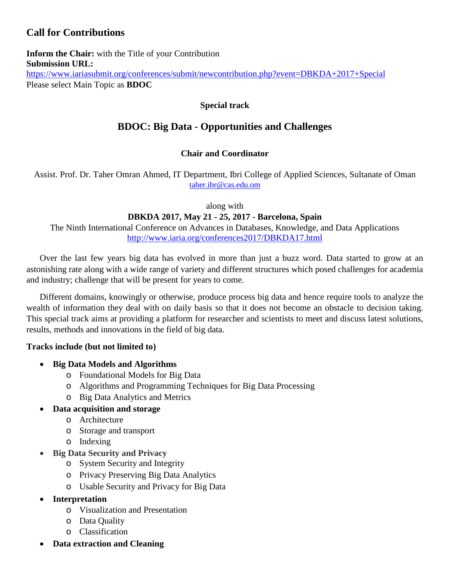# **Call for Contributions**

**Inform the Chair:** with the Title of your Contribution **Submission URL:** <https://www.iariasubmit.org/conferences/submit/newcontribution.php?event=DBKDA+2017+Special> Please select Main Topic as **BDOC**

#### **Special track**

# **BDOC: Big Data - Opportunities and Challenges**

### **Chair and Coordinator**

Assist. Prof. Dr. Taher Omran Ahmed, IT Department, Ibri College of Applied Sciences, Sultanate of Oman [taher.ibr@cas.edu.om](mailto:taher.ibr@cas.edu.om)

along with

### **DBKDA 2017, May 21 - 25, 2017 - Barcelona, Spain**

The Ninth International Conference on Advances in Databases, Knowledge, and Data Applications <http://www.iaria.org/conferences2017/DBKDA17.html>

Over the last few years big data has evolved in more than just a buzz word. Data started to grow at an astonishing rate along with a wide range of variety and different structures which posed challenges for academia and industry; challenge that will be present for years to come.

Different domains, knowingly or otherwise, produce process big data and hence require tools to analyze the wealth of information they deal with on daily basis so that it does not become an obstacle to decision taking. This special track aims at providing a platform for researcher and scientists to meet and discuss latest solutions, results, methods and innovations in the field of big data.

#### **Tracks include (but not limited to)**

- **Big Data Models and Algorithms**
	- o Foundational Models for Big Data
	- o Algorithms and Programming Techniques for Big Data Processing
	- o Big Data Analytics and Metrics

## **Data acquisition and storage**

- o Architecture
- o Storage and transport
- o Indexing
- **Big Data Security and Privacy**
	- o System Security and Integrity
	- o Privacy Preserving Big Data Analytics
	- o Usable Security and Privacy for Big Data
- **Interpretation**
	- o Visualization and Presentation
	- o Data Quality
	- o Classification
- **Data extraction and Cleaning**